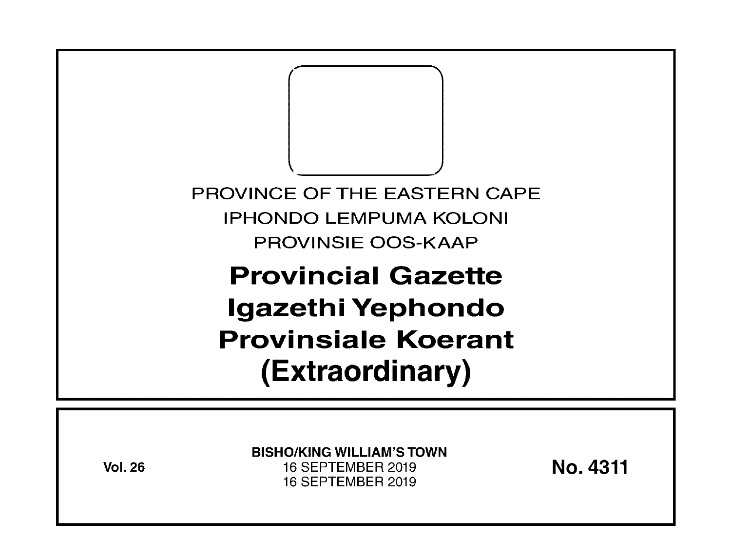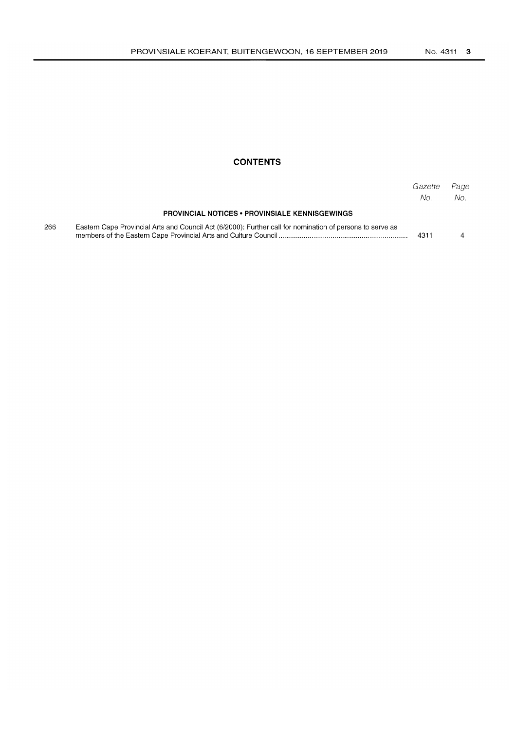### **CONTENTS**

|     |                                                                                                           | Gazette<br>No. | Page<br>No. |
|-----|-----------------------------------------------------------------------------------------------------------|----------------|-------------|
|     | <b>PROVINCIAL NOTICES • PROVINSIALE KENNISGEWINGS</b>                                                     |                |             |
| 266 | Eastern Cape Provincial Arts and Council Act (6/2000): Further call for nomination of persons to serve as | 4311           |             |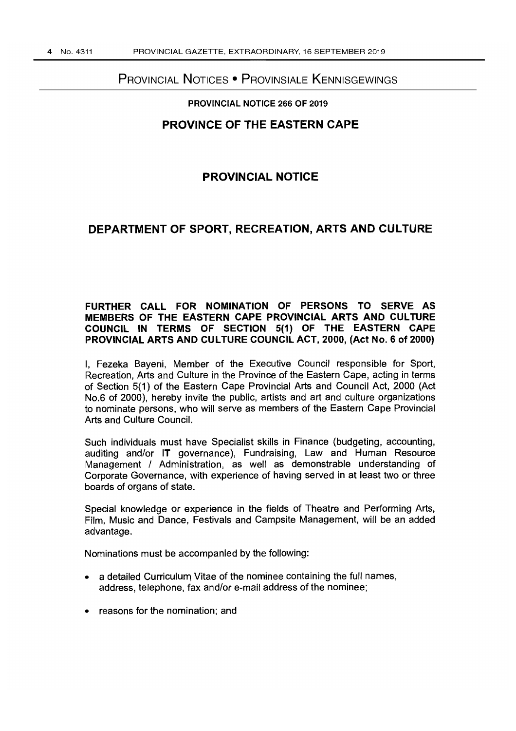# PROVINCIAL NOTICES • PROVINSIALE KENNISGEWINGS

#### PROVINCIAL NOTICE 266 OF 2019

## PROVINCE OF THE EASTERN CAPE

## PROVINCIAL NOTICE

## DEPARTMENT OF SPORT, RECREATION, ARTS AND CULTURE

## FURTHER CALL FOR NOMINATION OF PERSONS TO SERVE AS MEMBERS OF THE EASTERN CAPE PROVINCIAL ARTS AND CULTURE COUNCIL IN TERMS OF SECTION 5(1) OF THE EASTERN CAPE PROVINCIAL ARTS AND CULTURE COUNCIL ACT, 2000, (Act No.6 of 2000)

I, Fezeka Bayeni, Member of the Executive Council responsible for Sport, Recreation, Arts and Culture in the Province of the Eastern Cape, acting in terms of Section 5(1) of the Eastern Cape Provincial Arts and Council Act, 2000 (Act No.6 of 2000), hereby invite the public, artists and art and culture organizations to nominate persons, who will serve as members of the Eastern Cape Provincial Arts and Culture Council.

Such individuals must have Specialist skills in Finance (budgeting, accounting, auditing and/or IT governance), Fundraising, Law and Human Resource Management / Administration, as well as demonstrable understanding of Corporate Governance, with experience of having served in at least two or three boards of organs of state.

Special knowledge or experience in the fields of Theatre and Performing Arts, Film, Music and Dance, Festivals and Campsite Management, will be an added advantage.

Nominations must be accompanied by the following:

- a detailed Curriculum Vitae of the nominee containing the full names, address, telephone, fax and/or e-mail address of the nominee;
- reasons for the nomination; and